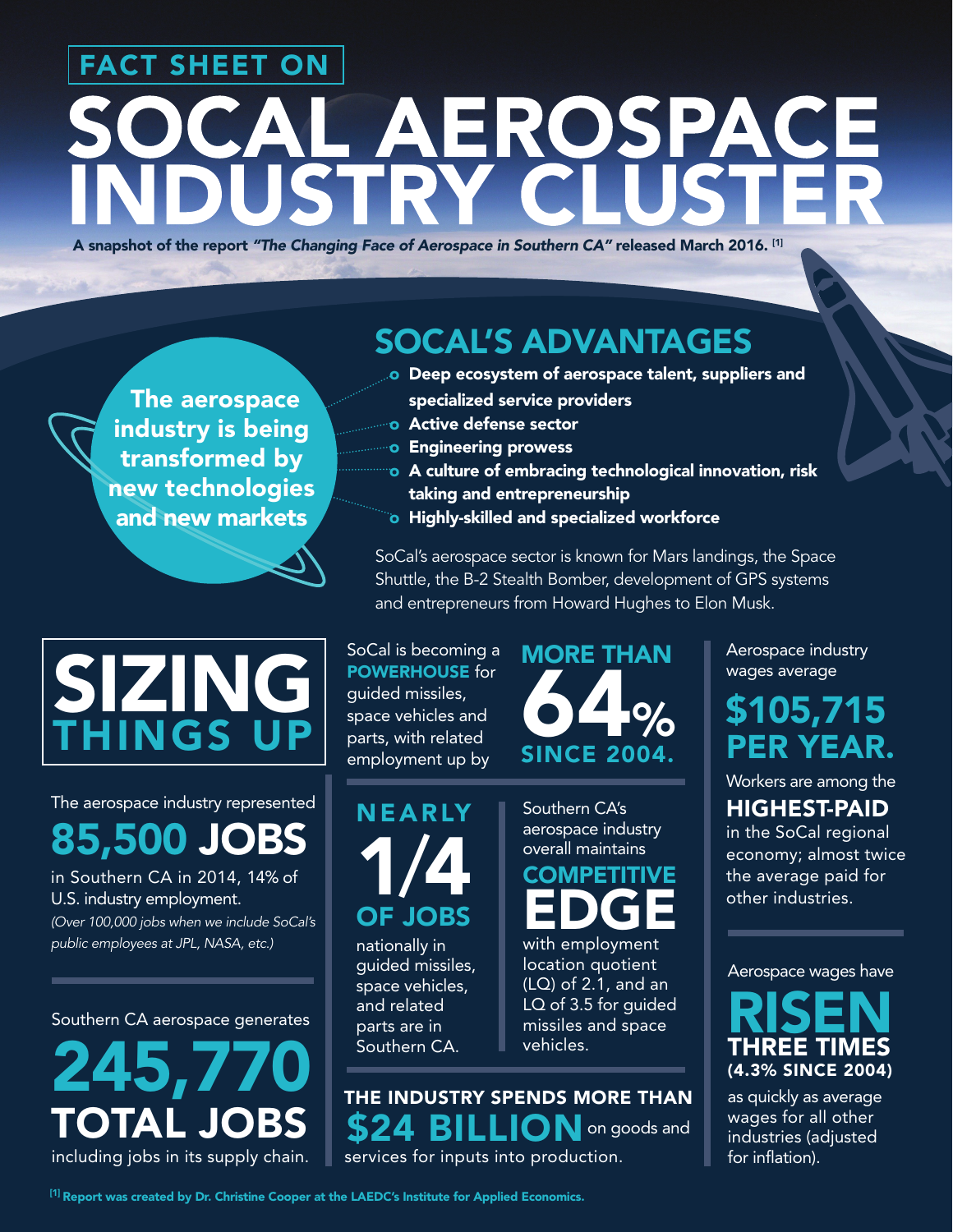# FACT SHEET ON CAL AEROSPACE **ISTRY C**

A snapshot of the report *"The Changing Face of Aerospace in Southern CA"* released March 2016. [1]

 The aerospace industry is being transformed by new technologies and new markets

## SIZING **INGS**

The aerospace industry represented 85,500 JOBS

in Southern CA in 2014, 14% of U.S. industry employment. *(Over 100,000 jobs when we include SoCal's public employees at JPL, NASA, etc.)*

Southern CA aerospace generates

# 245,770 TOTA

including jobs in its supply chain.

## SOCAL'S ADVANTAGES

- o Deep ecosystem of aerospace talent, suppliers and specialized service providers
- o Active defense sector
- o Engineering prowess
- o A culture of embracing technological innovation, risk taking and entrepreneurship
- o Highly-skilled and specialized workforce

SoCal's aerospace sector is known for Mars landings, the Space Shuttle, the B-2 Stealth Bomber, development of GPS systems and entrepreneurs from Howard Hughes to Elon Musk.

#### SoCal is becoming a POWERHOUSE for

guided missiles, space vehicles and parts, with related employment up by

NEARLY

1/4

OF JOBS nationally in guided missiles, space vehicles, and related parts are in Southern CA.



Southern CA's aerospace industry overall maintains

**COMPETITIVE** EDGE

with employment location quotient (LQ) of 2.1, and an LQ of 3.5 for guided missiles and space vehicles.

THE INDUSTRY SPENDS MORE THAN \$24 BILLION on goods and services for inputs into production.

Aerospace industry wages average

## \$105,715 PER YEAR.

Workers are among the

HIGHEST-PAID

in the SoCal regional economy; almost twice the average paid for other industries.

Aerospace wages have

RISEN THREE TIMES (4.3% SINCE 2004)

as quickly as average wages for all other industries (adjusted for inflation).

[1] Report was created by Dr. Christine Cooper at the LAEDC's Institute for Applied Economics.